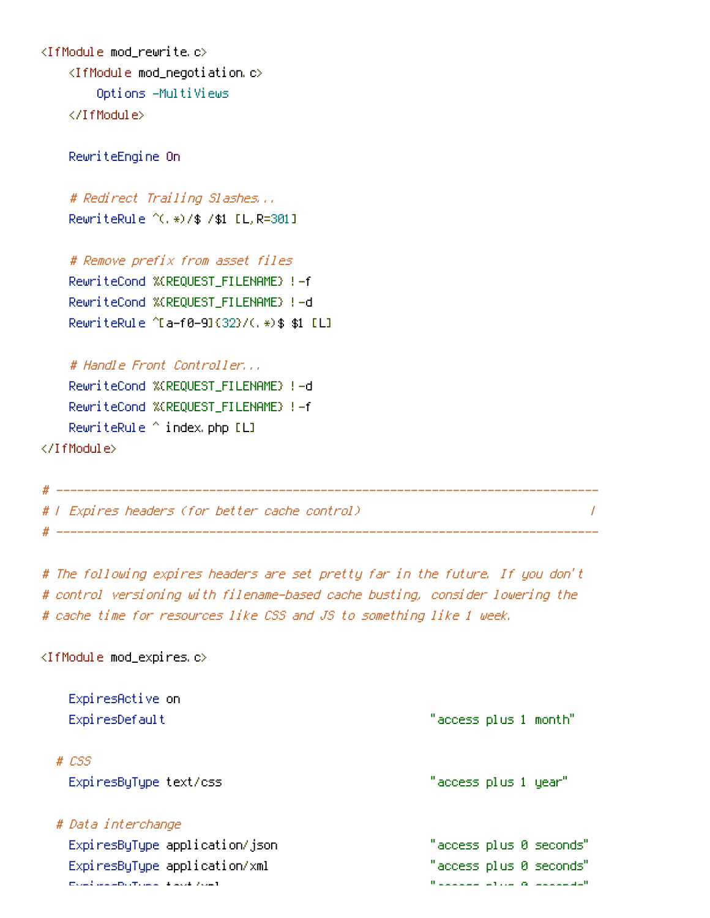```
<IfModule mod_rewrite.c>
    <IfModule mod_negotiation.c>
        Options -MultiViews
    </IfModule>
```
RewriteEngine On

```
# Redirect Trailing Slashes...
RewriteRule ^(.*)/$ /$1 [L,R=301]
```
# Remove prefix from asset files RewriteCond %{REQUEST\_FILENAME} !-f RewriteCond %{REQUEST\_FILENAME} !-d RewriteRule ^[a-f0-9]{32}/(.\*)\$ \$1 [L]

# Handle Front Controller...

RewriteCond %{REQUEST\_FILENAME} !-d RewriteCond %{REQUEST\_FILENAME} !-f RewriteRule ^ index.php [L]

</IfModule>

```
# ------------------------------------------------------------------------------
# | Expires headers (for better cache control) |
# ------------------------------------------------------------------------------
```
# The following expires headers are set pretty far in the future. If you don't # control versioning with filename-based cache busting, consider lowering the # cache time for resources like CSS and JS to something like 1 week.

## <IfModule mod\_expires.c>

| ExpiresActive on                            |                       |  |                             |
|---------------------------------------------|-----------------------|--|-----------------------------|
| ExpiresDefault                              | "access plus 1 month" |  |                             |
| # CSS                                       |                       |  |                             |
| ExpiresByType text/css                      | "access plus 1 year"  |  |                             |
| # Data interchange                          |                       |  |                             |
| ExpiresByType application/json              |                       |  | "access plus 0 seconds"     |
| ExpiresByType application/xml               |                       |  | "access plus 0 seconds"     |
| mated as a difference of the state state to |                       |  | Madagasa at ha ng agagaalaw |